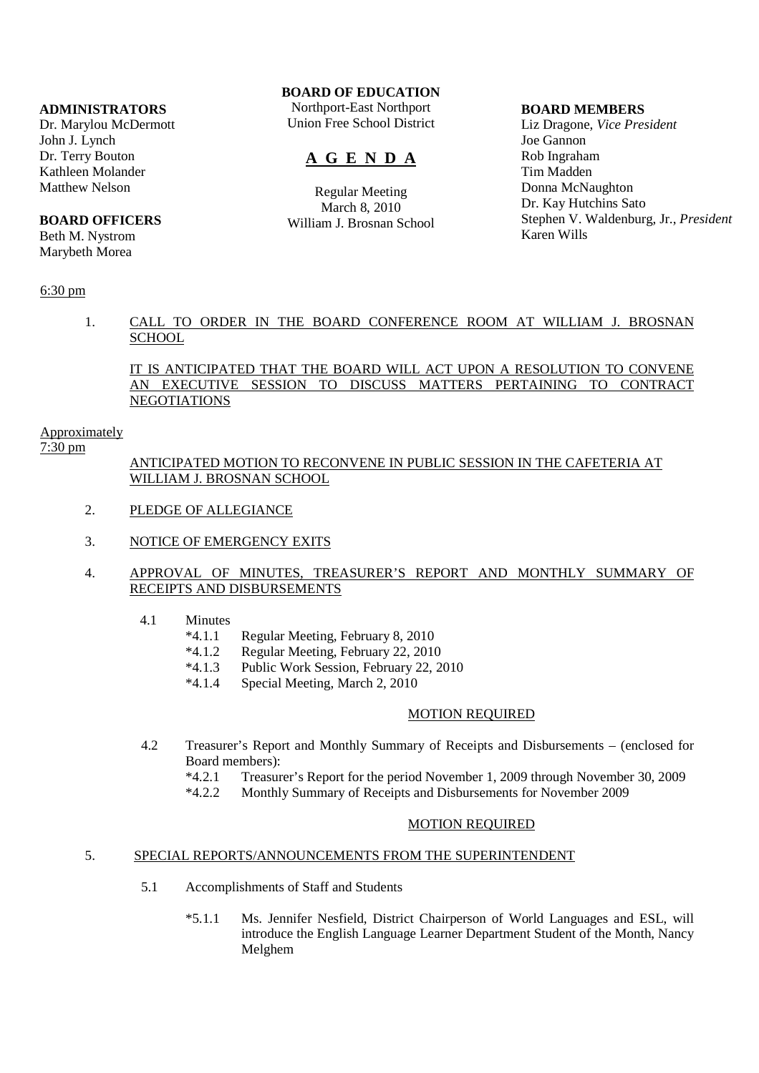### **ADMINISTRATORS**

Dr. Marylou McDermott John J. Lynch Dr. Terry Bouton Kathleen Molander Matthew Nelson

## **BOARD OFFICERS**

Beth M. Nystrom Marybeth Morea

### 6:30 pm

# **BOARD OF EDUCATION**

Northport-East Northport Union Free School District

# **A G E N D A**

Regular Meeting March 8, 2010 William J. Brosnan School

#### **BOARD MEMBERS**

Liz Dragone, *Vice President* Joe Gannon Rob Ingraham Tim Madden Donna McNaughton Dr. Kay Hutchins Sato Stephen V. Waldenburg, Jr., *President* Karen Wills

 1. CALL TO ORDER IN THE BOARD CONFERENCE ROOM AT WILLIAM J. BROSNAN **SCHOOL** 

## IT IS ANTICIPATED THAT THE BOARD WILL ACT UPON A RESOLUTION TO CONVENE AN EXECUTIVE SESSION TO DISCUSS MATTERS PERTAINING TO CONTRACT NEGOTIATIONS

#### Approximately

7:30 pm

## ANTICIPATED MOTION TO RECONVENE IN PUBLIC SESSION IN THE CAFETERIA AT WILLIAM J. BROSNAN SCHOOL

- 2. PLEDGE OF ALLEGIANCE
- 3. NOTICE OF EMERGENCY EXITS

## 4. APPROVAL OF MINUTES, TREASURER'S REPORT AND MONTHLY SUMMARY OF RECEIPTS AND DISBURSEMENTS

- 4.1 Minutes
	- \*4.1.1 Regular Meeting, February 8, 2010
	- \*4.1.2 Regular Meeting, February 22, 2010
	- \*4.1.3 Public Work Session, February 22, 2010
	- \*4.1.4 Special Meeting, March 2, 2010

#### MOTION REQUIRED

- 4.2 Treasurer's Report and Monthly Summary of Receipts and Disbursements (enclosed for Board members):
	- \*4.2.1 Treasurer's Report for the period November 1, 2009 through November 30, 2009
	- Monthly Summary of Receipts and Disbursements for November 2009

#### MOTION REQUIRED

## 5. SPECIAL REPORTS/ANNOUNCEMENTS FROM THE SUPERINTENDENT

- 5.1 Accomplishments of Staff and Students
	- \*5.1.1 Ms. Jennifer Nesfield, District Chairperson of World Languages and ESL, will introduce the English Language Learner Department Student of the Month, Nancy Melghem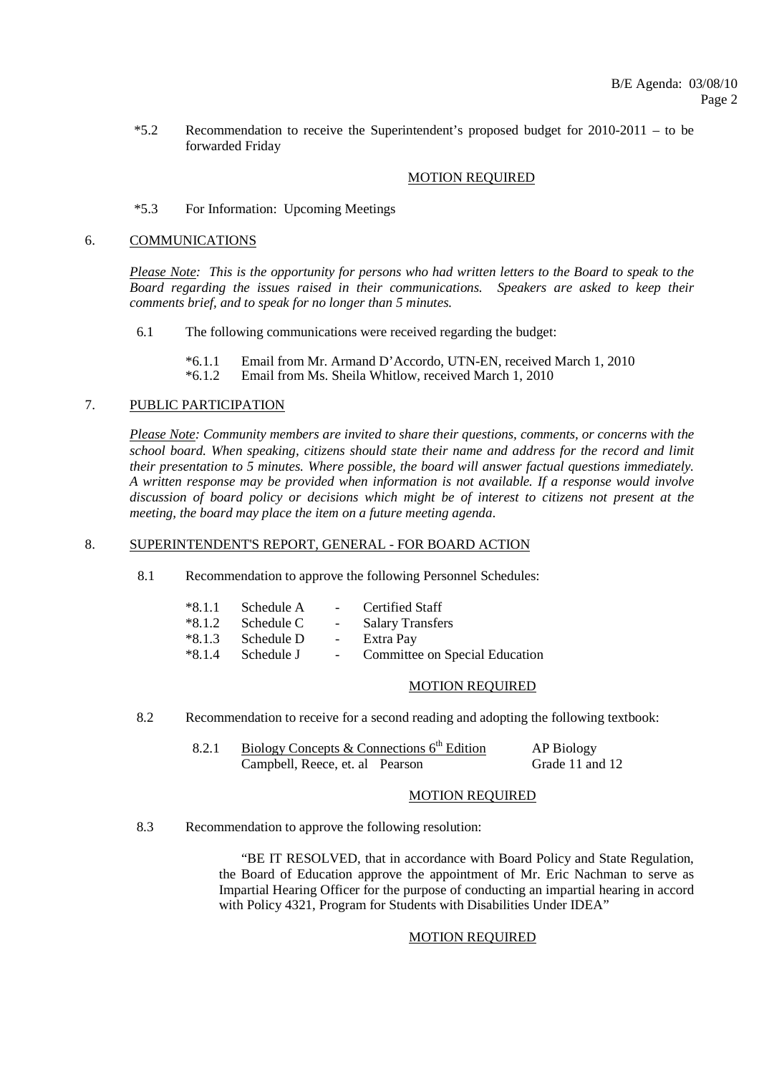\*5.2 Recommendation to receive the Superintendent's proposed budget for 2010-2011 – to be forwarded Friday

## MOTION REQUIRED

### \*5.3 For Information: Upcoming Meetings

#### 6. COMMUNICATIONS

*Please Note: This is the opportunity for persons who had written letters to the Board to speak to the Board regarding the issues raised in their communications. Speakers are asked to keep their comments brief, and to speak for no longer than 5 minutes.*

- 6.1 The following communications were received regarding the budget:
	- \*6.1.1 Email from Mr. Armand D'Accordo, UTN-EN, received March 1, 2010

Email from Ms. Sheila Whitlow, received March 1, 2010

### 7. PUBLIC PARTICIPATION

*Please Note: Community members are invited to share their questions, comments, or concerns with the school board. When speaking, citizens should state their name and address for the record and limit their presentation to 5 minutes. Where possible, the board will answer factual questions immediately. A written response may be provided when information is not available. If a response would involve discussion of board policy or decisions which might be of interest to citizens not present at the meeting, the board may place the item on a future meeting agenda*.

### 8. SUPERINTENDENT'S REPORT, GENERAL - FOR BOARD ACTION

8.1 Recommendation to approve the following Personnel Schedules:

| $*8.1.1$ Schedule A    | $\sim 10^{-10}$ m $^{-1}$ | Certified Staff                |
|------------------------|---------------------------|--------------------------------|
| $*8.1.2$ Schedule C    | $\sim 10^{-10}$           | <b>Salary Transfers</b>        |
| $*8.1.3$<br>Schedule D | $\sim$                    | Extra Pay                      |
| Schedule J             | $  \,$                    | Committee on Special Education |
|                        |                           |                                |

#### MOTION REQUIRED

8.2 Recommendation to receive for a second reading and adopting the following textbook:

| Biology Concepts & Connections $6th$ Edition | AP Biology      |
|----------------------------------------------|-----------------|
| Campbell, Reece, et. al Pearson              | Grade 11 and 12 |

#### MOTION REQUIRED

8.3 Recommendation to approve the following resolution:

 "BE IT RESOLVED, that in accordance with Board Policy and State Regulation, the Board of Education approve the appointment of Mr. Eric Nachman to serve as Impartial Hearing Officer for the purpose of conducting an impartial hearing in accord with Policy 4321, Program for Students with Disabilities Under IDEA"

#### MOTION REQUIRED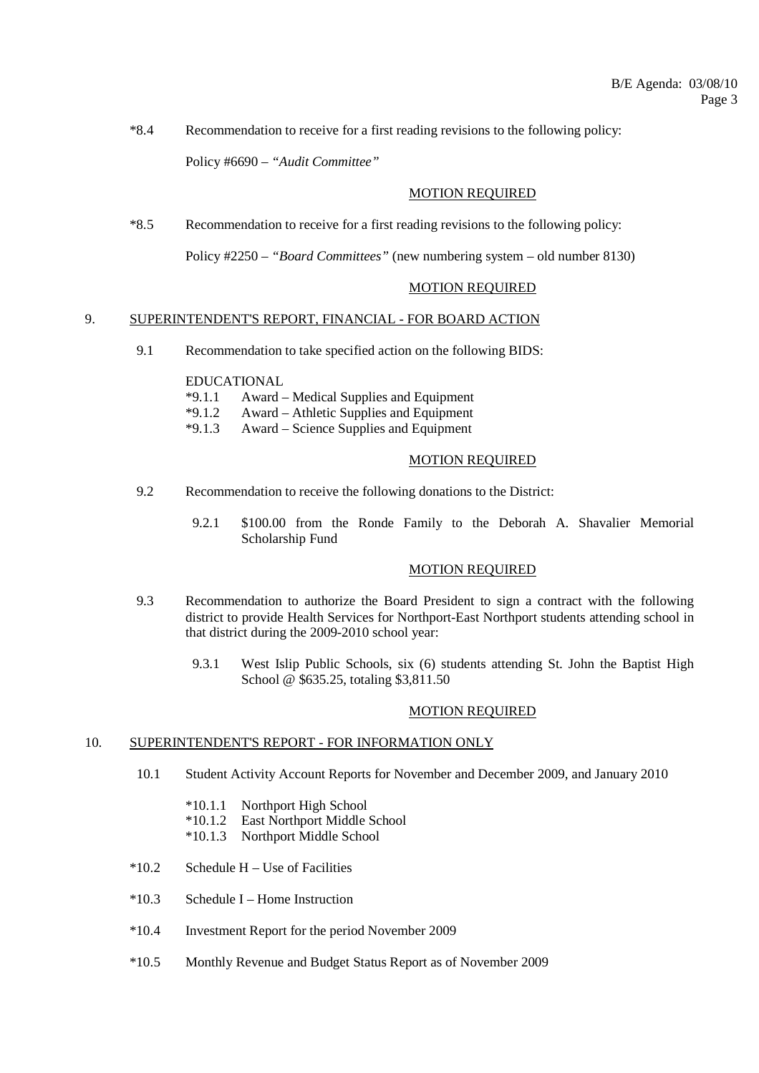\*8.4 Recommendation to receive for a first reading revisions to the following policy:

Policy #6690 – *"Audit Committee"*

## MOTION REQUIRED

\*8.5 Recommendation to receive for a first reading revisions to the following policy:

Policy #2250 – *"Board Committees"* (new numbering system – old number 8130)

## MOTION REQUIRED

### 9. SUPERINTENDENT'S REPORT, FINANCIAL - FOR BOARD ACTION

9.1 Recommendation to take specified action on the following BIDS:

EDUCATIONAL

- \*9.1.1 Award Medical Supplies and Equipment
- \*9.1.2 Award Athletic Supplies and Equipment
- \*9.1.3 Award Science Supplies and Equipment

### MOTION REQUIRED

- 9.2 Recommendation to receive the following donations to the District:
	- 9.2.1 \$100.00 from the Ronde Family to the Deborah A. Shavalier Memorial Scholarship Fund

#### MOTION REQUIRED

- 9.3 Recommendation to authorize the Board President to sign a contract with the following district to provide Health Services for Northport-East Northport students attending school in that district during the 2009-2010 school year:
	- 9.3.1 West Islip Public Schools, six (6) students attending St. John the Baptist High School @ \$635.25, totaling \$3,811.50

## MOTION REQUIRED

#### 10. SUPERINTENDENT'S REPORT - FOR INFORMATION ONLY

- 10.1 Student Activity Account Reports for November and December 2009, and January 2010
	- \*10.1.1 Northport High School
	- \*10.1.2 East Northport Middle School
	- \*10.1.3 Northport Middle School
- $*10.2$  Schedule H Use of Facilities
- \*10.3 Schedule I Home Instruction
- \*10.4 Investment Report for the period November 2009
- \*10.5 Monthly Revenue and Budget Status Report as of November 2009